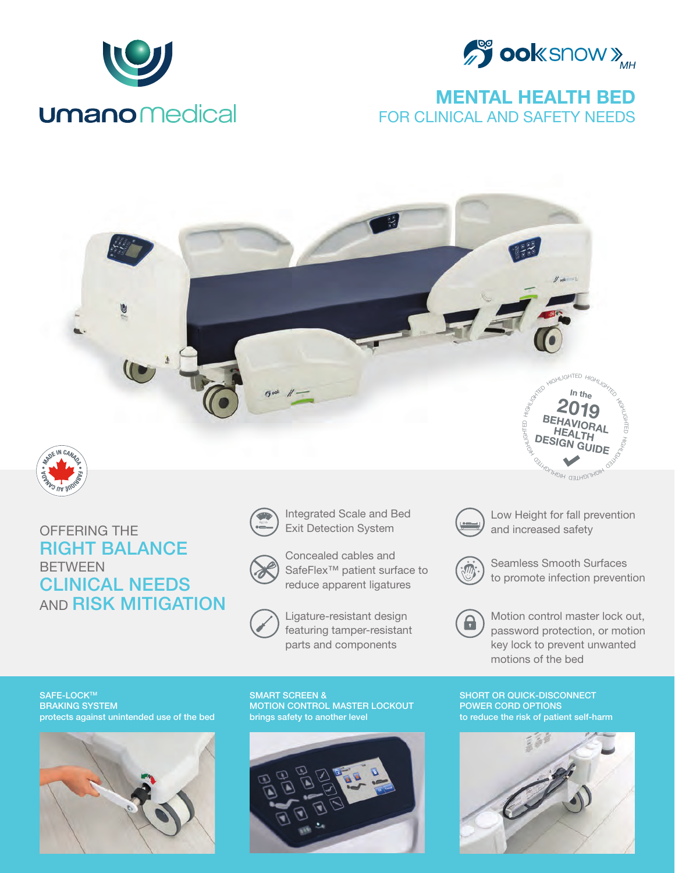



## MENTAL HEALTH BED FOR CLINICAL AND SAFETY NEEDS





## OFFERING THE RIGHT BALANCE **BETWEEN** CLINICAL NEEDS **AND RISK MITIGATION**





Concealed cables and SafeFlex<sup>™</sup> patient surface to reduce apparent ligatures



Ligature-resistant design featuring tamper-resistant parts and components



and increased safety Low Height for fall prevention

**Kg | Lb**

<sup>NGHTED</sup> HIGHL<sub>IQ</sub>



Seamless Smooth Surfaces to promote infection prevention



Motion control master lock out, password protection, or motion key lock to prevent unwanted motions of the bed

SAFE-LOCK™ BRAKING SYSTEM protects against unintended use of the bed



SMART SCREEN & MOTION CONTROL MASTER LOCKOUT brings safety to another level



SHORT OR QUICK-DISCONNECT POWER CORD OPTIONS to reduce the risk of patient self-harm